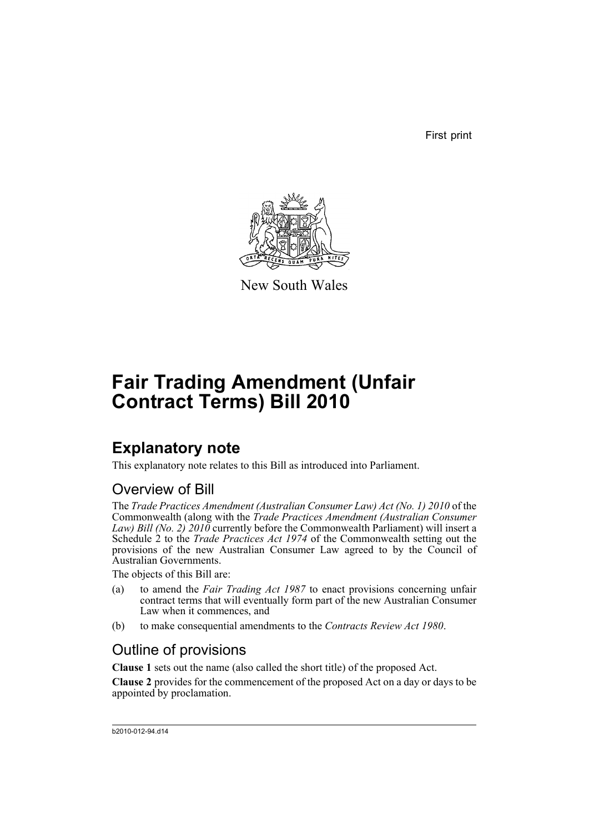First print



New South Wales

# **Fair Trading Amendment (Unfair Contract Terms) Bill 2010**

# **Explanatory note**

This explanatory note relates to this Bill as introduced into Parliament.

### Overview of Bill

The *Trade Practices Amendment (Australian Consumer Law) Act (No. 1) 2010* of the Commonwealth (along with the *Trade Practices Amendment (Australian Consumer Law) Bill (No. 2) 2010* currently before the Commonwealth Parliament) will insert a Schedule 2 to the *Trade Practices Act 1974* of the Commonwealth setting out the provisions of the new Australian Consumer Law agreed to by the Council of Australian Governments.

The objects of this Bill are:

- (a) to amend the *Fair Trading Act 1987* to enact provisions concerning unfair contract terms that will eventually form part of the new Australian Consumer Law when it commences, and
- (b) to make consequential amendments to the *Contracts Review Act 1980*.

### Outline of provisions

**Clause 1** sets out the name (also called the short title) of the proposed Act.

**Clause 2** provides for the commencement of the proposed Act on a day or days to be appointed by proclamation.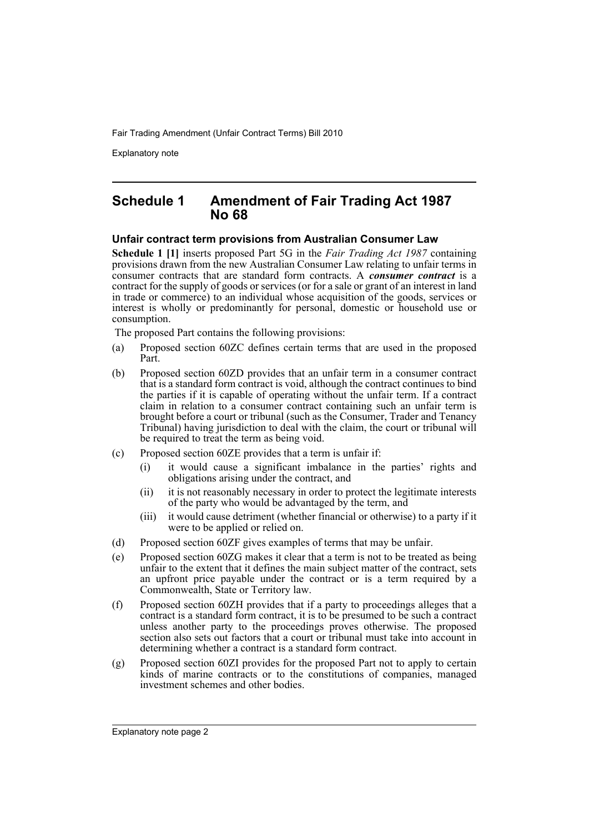Explanatory note

#### **Schedule 1 Amendment of Fair Trading Act 1987 No 68**

#### **Unfair contract term provisions from Australian Consumer Law**

**Schedule 1 [1]** inserts proposed Part 5G in the *Fair Trading Act 1987* containing provisions drawn from the new Australian Consumer Law relating to unfair terms in consumer contracts that are standard form contracts. A *consumer contract* is a contract for the supply of goods or services (or for a sale or grant of an interest in land in trade or commerce) to an individual whose acquisition of the goods, services or interest is wholly or predominantly for personal, domestic or household use or consumption.

The proposed Part contains the following provisions:

- (a) Proposed section 60ZC defines certain terms that are used in the proposed Part.
- (b) Proposed section 60ZD provides that an unfair term in a consumer contract that is a standard form contract is void, although the contract continues to bind the parties if it is capable of operating without the unfair term. If a contract claim in relation to a consumer contract containing such an unfair term is brought before a court or tribunal (such as the Consumer, Trader and Tenancy Tribunal) having jurisdiction to deal with the claim, the court or tribunal will be required to treat the term as being void.
- (c) Proposed section 60ZE provides that a term is unfair if:
	- (i) it would cause a significant imbalance in the parties' rights and obligations arising under the contract, and
	- (ii) it is not reasonably necessary in order to protect the legitimate interests of the party who would be advantaged by the term, and
	- (iii) it would cause detriment (whether financial or otherwise) to a party if it were to be applied or relied on.
- (d) Proposed section 60ZF gives examples of terms that may be unfair.
- (e) Proposed section 60ZG makes it clear that a term is not to be treated as being unfair to the extent that it defines the main subject matter of the contract, sets an upfront price payable under the contract or is a term required by a Commonwealth, State or Territory law.
- (f) Proposed section 60ZH provides that if a party to proceedings alleges that a contract is a standard form contract, it is to be presumed to be such a contract unless another party to the proceedings proves otherwise. The proposed section also sets out factors that a court or tribunal must take into account in determining whether a contract is a standard form contract.
- (g) Proposed section 60ZI provides for the proposed Part not to apply to certain kinds of marine contracts or to the constitutions of companies, managed investment schemes and other bodies.

Explanatory note page 2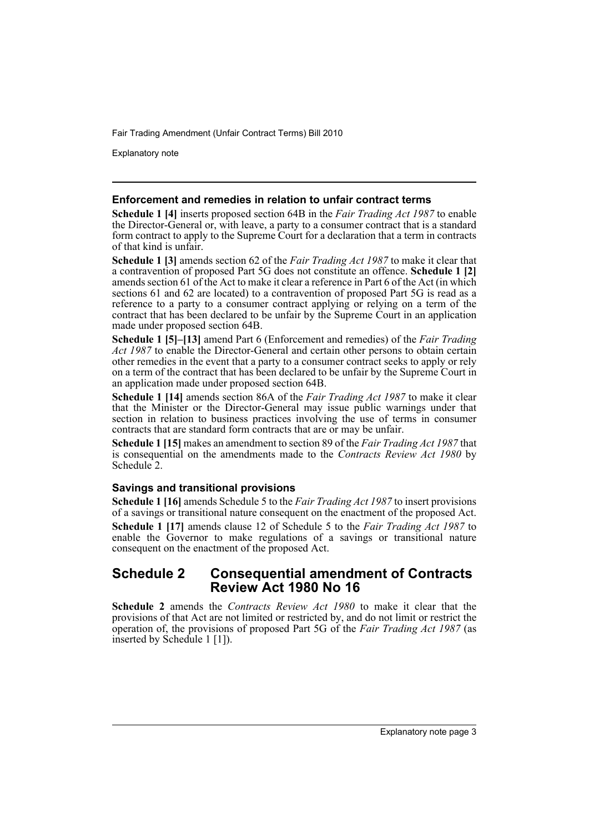Explanatory note

#### **Enforcement and remedies in relation to unfair contract terms**

**Schedule 1 [4]** inserts proposed section 64B in the *Fair Trading Act 1987* to enable the Director-General or, with leave, a party to a consumer contract that is a standard form contract to apply to the Supreme Court for a declaration that a term in contracts of that kind is unfair.

**Schedule 1 [3]** amends section 62 of the *Fair Trading Act 1987* to make it clear that a contravention of proposed Part 5G does not constitute an offence. **Schedule 1 [2]** amends section 61 of the Act to make it clear a reference in Part 6 of the Act (in which sections 61 and 62 are located) to a contravention of proposed Part 5G is read as a reference to a party to a consumer contract applying or relying on a term of the contract that has been declared to be unfair by the Supreme Court in an application made under proposed section 64B.

**Schedule 1 [5]–[13]** amend Part 6 (Enforcement and remedies) of the *Fair Trading Act 1987* to enable the Director-General and certain other persons to obtain certain other remedies in the event that a party to a consumer contract seeks to apply or rely on a term of the contract that has been declared to be unfair by the Supreme Court in an application made under proposed section 64B.

**Schedule 1 [14]** amends section 86A of the *Fair Trading Act 1987* to make it clear that the Minister or the Director-General may issue public warnings under that section in relation to business practices involving the use of terms in consumer contracts that are standard form contracts that are or may be unfair.

**Schedule 1 [15]** makes an amendment to section 89 of the *Fair Trading Act 1987* that is consequential on the amendments made to the *Contracts Review Act 1980* by Schedule 2.

#### **Savings and transitional provisions**

**Schedule 1 [16]** amends Schedule 5 to the *Fair Trading Act 1987* to insert provisions of a savings or transitional nature consequent on the enactment of the proposed Act. **Schedule 1 [17]** amends clause 12 of Schedule 5 to the *Fair Trading Act 1987* to enable the Governor to make regulations of a savings or transitional nature consequent on the enactment of the proposed Act.

#### **Schedule 2 Consequential amendment of Contracts Review Act 1980 No 16**

**Schedule 2** amends the *Contracts Review Act 1980* to make it clear that the provisions of that Act are not limited or restricted by, and do not limit or restrict the operation of, the provisions of proposed Part 5G of the *Fair Trading Act 1987* (as inserted by Schedule 1 [1]).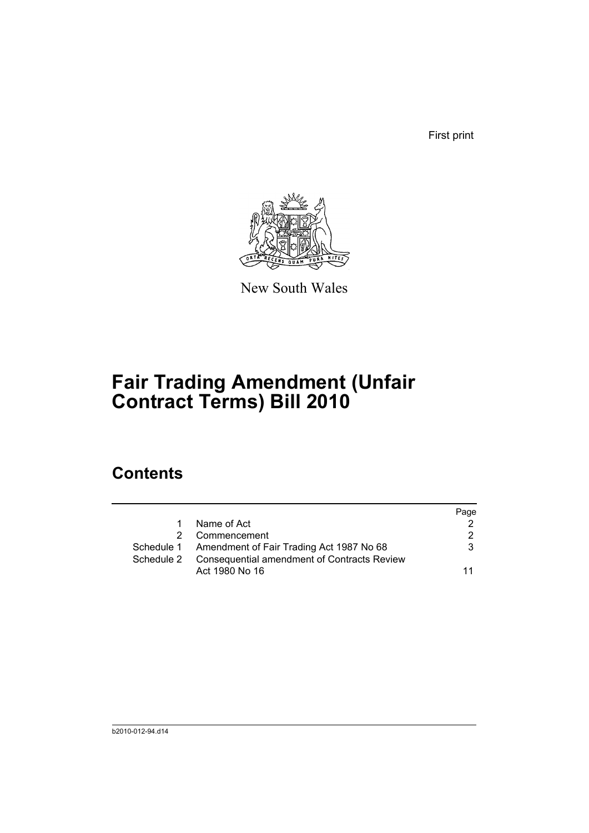First print



New South Wales

# **Fair Trading Amendment (Unfair Contract Terms) Bill 2010**

# **Contents**

|             |                                                                                                               | Page |
|-------------|---------------------------------------------------------------------------------------------------------------|------|
| $\mathbf 1$ | Name of Act                                                                                                   | 2    |
|             | Commencement                                                                                                  | 2    |
|             | Schedule 1 Amendment of Fair Trading Act 1987 No 68<br>Schedule 2 Consequential amendment of Contracts Review | 3    |
|             | Act 1980 No 16                                                                                                | 11   |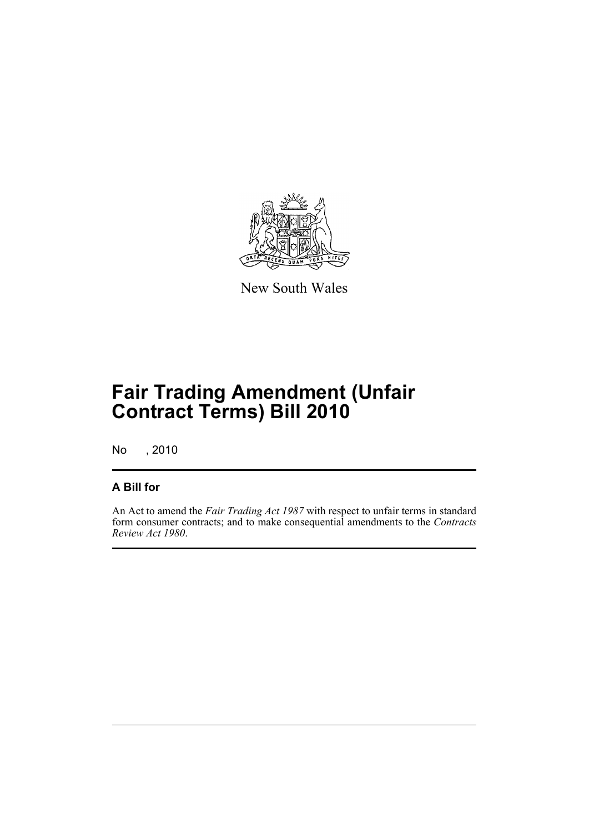

New South Wales

# **Fair Trading Amendment (Unfair Contract Terms) Bill 2010**

No , 2010

### **A Bill for**

An Act to amend the *Fair Trading Act 1987* with respect to unfair terms in standard form consumer contracts; and to make consequential amendments to the *Contracts Review Act 1980*.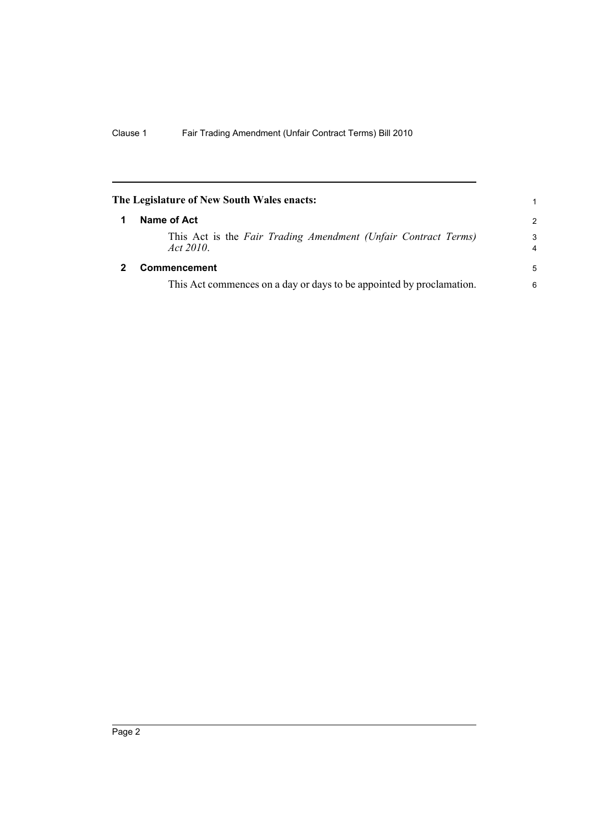<span id="page-7-1"></span><span id="page-7-0"></span>

| The Legislature of New South Wales enacts:                                  | 1             |
|-----------------------------------------------------------------------------|---------------|
| Name of Act                                                                 | $\mathcal{P}$ |
| This Act is the Fair Trading Amendment (Unfair Contract Terms)<br>Act 2010. | 3<br>4        |
| <b>Commencement</b>                                                         | 5             |
| This Act commences on a day or days to be appointed by proclamation.        | 6             |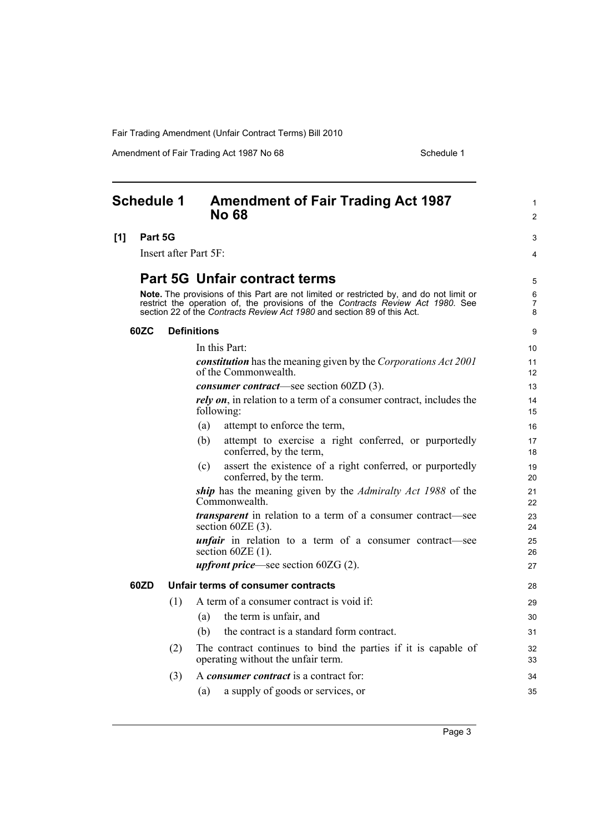Amendment of Fair Trading Act 1987 No 68 Schedule 1

<span id="page-8-0"></span>

|     | <b>Schedule 1</b> |     | <b>Amendment of Fair Trading Act 1987</b><br><b>No 68</b>                                                                                                                                                                                             | 1<br>$\overline{c}$ |
|-----|-------------------|-----|-------------------------------------------------------------------------------------------------------------------------------------------------------------------------------------------------------------------------------------------------------|---------------------|
| [1] | Part 5G           |     |                                                                                                                                                                                                                                                       | 3                   |
|     |                   |     | Insert after Part 5F:                                                                                                                                                                                                                                 | 4                   |
|     |                   |     | <b>Part 5G Unfair contract terms</b>                                                                                                                                                                                                                  | 5                   |
|     |                   |     | Note. The provisions of this Part are not limited or restricted by, and do not limit or<br>restrict the operation of, the provisions of the Contracts Review Act 1980. See<br>section 22 of the Contracts Review Act 1980 and section 89 of this Act. | 6<br>7<br>8         |
|     | 60ZC              |     | <b>Definitions</b>                                                                                                                                                                                                                                    | 9                   |
|     |                   |     | In this Part:                                                                                                                                                                                                                                         | 10                  |
|     |                   |     | <b>constitution</b> has the meaning given by the Corporations Act 2001<br>of the Commonwealth.                                                                                                                                                        | 11<br>12            |
|     |                   |     | <i>consumer contract</i> —see section 60ZD (3).                                                                                                                                                                                                       | 13                  |
|     |                   |     | rely on, in relation to a term of a consumer contract, includes the<br>following:                                                                                                                                                                     | 14<br>15            |
|     |                   |     | attempt to enforce the term,<br>(a)                                                                                                                                                                                                                   | 16                  |
|     |                   |     | attempt to exercise a right conferred, or purportedly<br>(b)<br>conferred, by the term,                                                                                                                                                               | 17<br>18            |
|     |                   |     | assert the existence of a right conferred, or purportedly<br>(c)<br>conferred, by the term.                                                                                                                                                           | 19<br>20            |
|     |                   |     | ship has the meaning given by the <i>Admiralty Act 1988</i> of the<br>Commonwealth.                                                                                                                                                                   | 21<br>22            |
|     |                   |     | <i>transparent</i> in relation to a term of a consumer contract—see<br>section $60ZE(3)$ .                                                                                                                                                            | 23<br>24            |
|     |                   |     | <i>unfair</i> in relation to a term of a consumer contract—see<br>section $60ZE(1)$ .                                                                                                                                                                 | 25<br>26            |
|     |                   |     | <i>upfront price</i> —see section $60ZG(2)$ .                                                                                                                                                                                                         | 27                  |
|     | 60ZD              |     | Unfair terms of consumer contracts                                                                                                                                                                                                                    | 28                  |
|     |                   | (1) | A term of a consumer contract is void if:                                                                                                                                                                                                             | 29                  |
|     |                   |     | the term is unfair, and<br>(a)                                                                                                                                                                                                                        | 30                  |
|     |                   |     | the contract is a standard form contract.<br>(b)                                                                                                                                                                                                      | 31                  |
|     |                   | (2) | The contract continues to bind the parties if it is capable of<br>operating without the unfair term.                                                                                                                                                  | 32<br>33            |
|     |                   | (3) | A <i>consumer contract</i> is a contract for:                                                                                                                                                                                                         | 34                  |
|     |                   |     | a supply of goods or services, or<br>(a)                                                                                                                                                                                                              | 35                  |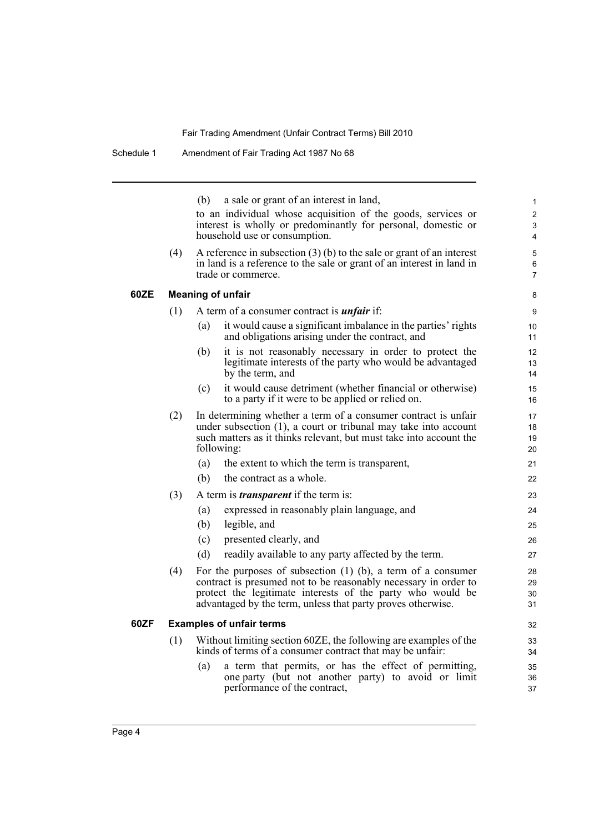(b) a sale or grant of an interest in land,

to an individual whose acquisition of the goods, services or interest is wholly or predominantly for personal, domestic or household use or consumption.

(4) A reference in subsection  $(3)$  (b) to the sale or grant of an interest in land is a reference to the sale or grant of an interest in land in trade or commerce.

#### **60ZE Meaning of unfair**

- (1) A term of a consumer contract is *unfair* if:
	- (a) it would cause a significant imbalance in the parties' rights and obligations arising under the contract, and
	- (b) it is not reasonably necessary in order to protect the legitimate interests of the party who would be advantaged by the term, and
	- (c) it would cause detriment (whether financial or otherwise) to a party if it were to be applied or relied on.
- (2) In determining whether a term of a consumer contract is unfair under subsection (1), a court or tribunal may take into account such matters as it thinks relevant, but must take into account the following:
	- (a) the extent to which the term is transparent,
	- (b) the contract as a whole.
- (3) A term is *transparent* if the term is:
	- (a) expressed in reasonably plain language, and
	- (b) legible, and
	- (c) presented clearly, and
	- (d) readily available to any party affected by the term.
- (4) For the purposes of subsection (1) (b), a term of a consumer contract is presumed not to be reasonably necessary in order to protect the legitimate interests of the party who would be advantaged by the term, unless that party proves otherwise.

#### **60ZF Examples of unfair terms**

- (1) Without limiting section 60ZE, the following are examples of the kinds of terms of a consumer contract that may be unfair:
	- (a) a term that permits, or has the effect of permitting, one party (but not another party) to avoid or limit performance of the contract,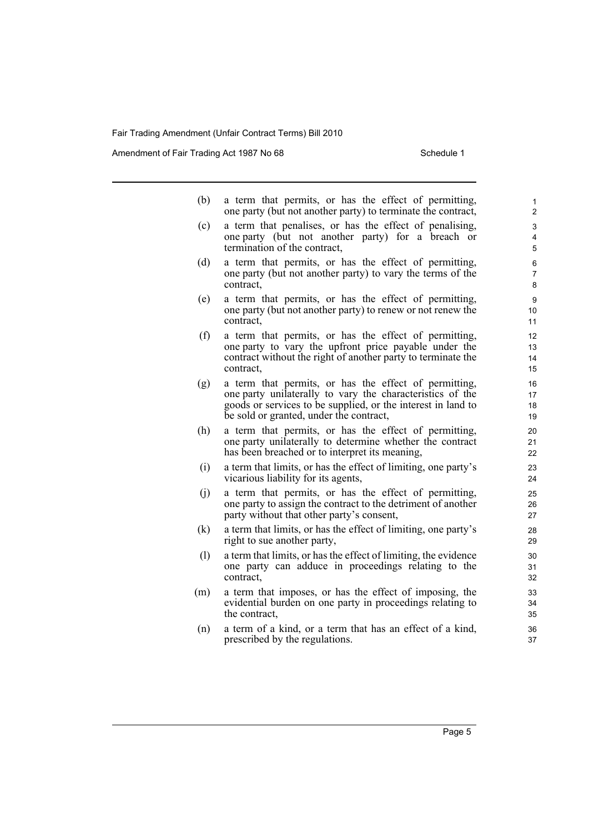Amendment of Fair Trading Act 1987 No 68 Schedule 1

| (b) |  |  |  |  | a term that permits, or has the effect of permitting,        |
|-----|--|--|--|--|--------------------------------------------------------------|
|     |  |  |  |  | one party (but not another party) to terminate the contract, |

- (c) a term that penalises, or has the effect of penalising, one party (but not another party) for a breach or termination of the contract,
- (d) a term that permits, or has the effect of permitting, one party (but not another party) to vary the terms of the contract,
- (e) a term that permits, or has the effect of permitting, one party (but not another party) to renew or not renew the contract,
- (f) a term that permits, or has the effect of permitting, one party to vary the upfront price payable under the contract without the right of another party to terminate the contract,
- (g) a term that permits, or has the effect of permitting, one party unilaterally to vary the characteristics of the goods or services to be supplied, or the interest in land to be sold or granted, under the contract,
- (h) a term that permits, or has the effect of permitting, one party unilaterally to determine whether the contract has been breached or to interpret its meaning,
- (i) a term that limits, or has the effect of limiting, one party's vicarious liability for its agents,
- (j) a term that permits, or has the effect of permitting, one party to assign the contract to the detriment of another party without that other party's consent,
- (k) a term that limits, or has the effect of limiting, one party's right to sue another party,
- (l) a term that limits, or has the effect of limiting, the evidence one party can adduce in proceedings relating to the contract,
- (m) a term that imposes, or has the effect of imposing, the evidential burden on one party in proceedings relating to the contract,
- (n) a term of a kind, or a term that has an effect of a kind, prescribed by the regulations.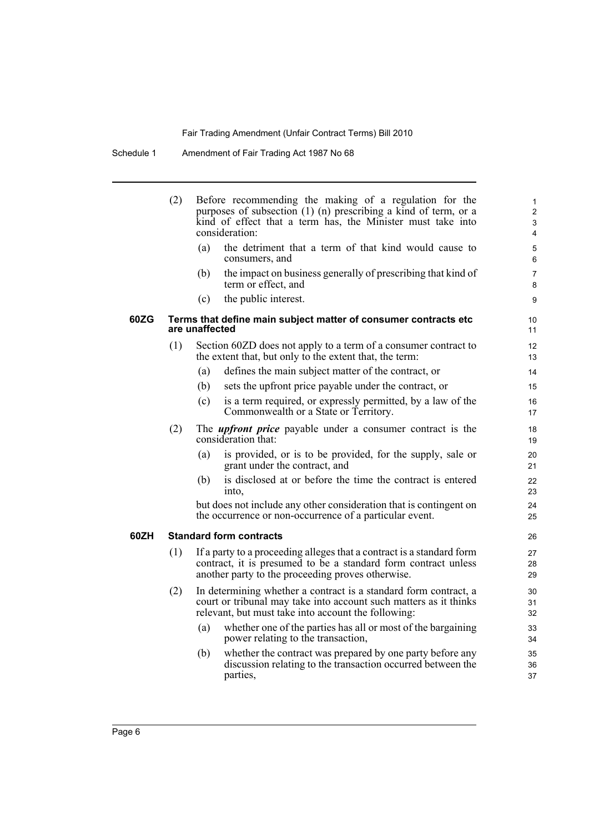Schedule 1 Amendment of Fair Trading Act 1987 No 68

|      | (2) | Before recommending the making of a regulation for the<br>purposes of subsection (1) (n) prescribing a kind of term, or a<br>kind of effect that a term has, the Minister must take into<br>consideration: | $\mathbf{1}$<br>$\overline{\mathbf{c}}$<br>3<br>4 |
|------|-----|------------------------------------------------------------------------------------------------------------------------------------------------------------------------------------------------------------|---------------------------------------------------|
|      |     | the detriment that a term of that kind would cause to<br>(a)<br>consumers, and                                                                                                                             | 5<br>6                                            |
|      |     | the impact on business generally of prescribing that kind of<br>(b)<br>term or effect, and                                                                                                                 | 7<br>8                                            |
|      |     | the public interest.<br>(c)                                                                                                                                                                                | 9                                                 |
| 60ZG |     | Terms that define main subject matter of consumer contracts etc<br>are unaffected                                                                                                                          | 10<br>11                                          |
|      | (1) | Section 60ZD does not apply to a term of a consumer contract to<br>the extent that, but only to the extent that, the term:                                                                                 | 12<br>13                                          |
|      |     | defines the main subject matter of the contract, or<br>(a)                                                                                                                                                 | 14                                                |
|      |     | sets the upfront price payable under the contract, or<br>(b)                                                                                                                                               | 15                                                |
|      |     | is a term required, or expressly permitted, by a law of the<br>(c)<br>Commonwealth or a State or Territory.                                                                                                | 16<br>17                                          |
|      | (2) | The <i>upfront price</i> payable under a consumer contract is the<br>consideration that:                                                                                                                   | 18<br>19                                          |
|      |     | is provided, or is to be provided, for the supply, sale or<br>(a)<br>grant under the contract, and                                                                                                         | 20<br>21                                          |
|      |     | is disclosed at or before the time the contract is entered<br>(b)<br>into,                                                                                                                                 | 22<br>23                                          |
|      |     | but does not include any other consideration that is contingent on<br>the occurrence or non-occurrence of a particular event.                                                                              | 24<br>25                                          |
| 60ZH |     | <b>Standard form contracts</b>                                                                                                                                                                             | 26                                                |
|      | (1) | If a party to a proceeding alleges that a contract is a standard form<br>contract, it is presumed to be a standard form contract unless<br>another party to the proceeding proves otherwise.               | 27<br>28<br>29                                    |
|      | (2) | In determining whether a contract is a standard form contract, a<br>court or tribunal may take into account such matters as it thinks<br>relevant, but must take into account the following:               | 30<br>31<br>32                                    |
|      |     | whether one of the parties has all or most of the bargaining<br>(a)<br>power relating to the transaction,                                                                                                  | 33<br>34                                          |
|      |     | whether the contract was prepared by one party before any<br>(b)<br>discussion relating to the transaction occurred between the<br>parties,                                                                | 35<br>36<br>37                                    |
|      |     |                                                                                                                                                                                                            |                                                   |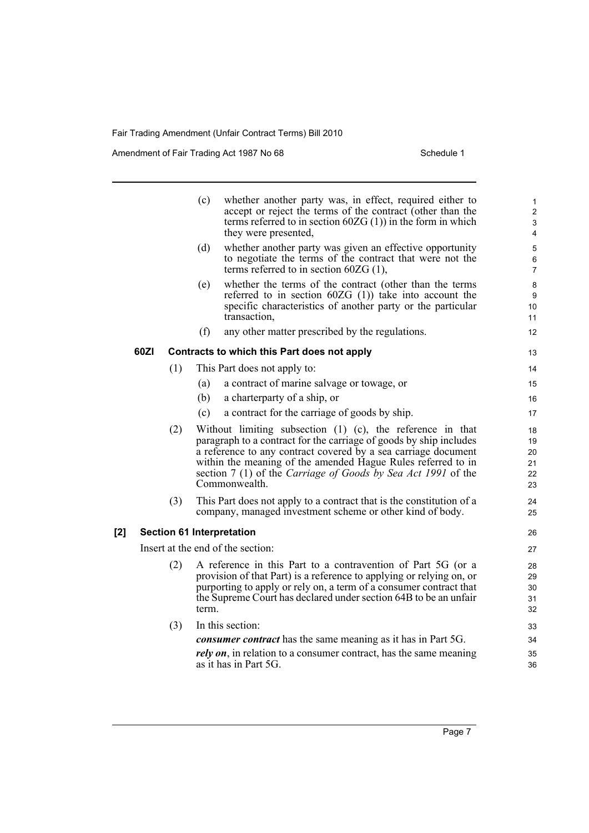Amendment of Fair Trading Act 1987 No 68 Schedule 1

|     |      |     | whether another party was, in effect, required either to<br>(c)<br>accept or reject the terms of the contract (other than the<br>terms referred to in section $60ZG(1)$ in the form in which<br>they were presented,                                                                                                                                      | $\mathbf{1}$<br>$\overline{2}$<br>$\mathsf 3$<br>4 |
|-----|------|-----|-----------------------------------------------------------------------------------------------------------------------------------------------------------------------------------------------------------------------------------------------------------------------------------------------------------------------------------------------------------|----------------------------------------------------|
|     |      |     | (d)<br>whether another party was given an effective opportunity<br>to negotiate the terms of the contract that were not the<br>terms referred to in section $60ZG(1)$ ,                                                                                                                                                                                   | $\mathbf 5$<br>$\,6\,$<br>$\overline{7}$           |
|     |      |     | whether the terms of the contract (other than the terms<br>(e)<br>referred to in section $60ZG(1)$ take into account the<br>specific characteristics of another party or the particular<br>transaction,                                                                                                                                                   | 8<br>9<br>10<br>11                                 |
|     |      |     | (f)<br>any other matter prescribed by the regulations.                                                                                                                                                                                                                                                                                                    | 12                                                 |
|     | 60ZI |     | Contracts to which this Part does not apply                                                                                                                                                                                                                                                                                                               | 13                                                 |
|     |      | (1) | This Part does not apply to:                                                                                                                                                                                                                                                                                                                              | 14                                                 |
|     |      |     | a contract of marine salvage or towage, or<br>(a)                                                                                                                                                                                                                                                                                                         | 15                                                 |
|     |      |     | (b)<br>a charterparty of a ship, or                                                                                                                                                                                                                                                                                                                       | 16                                                 |
|     |      |     | a contract for the carriage of goods by ship.<br>(c)                                                                                                                                                                                                                                                                                                      | 17                                                 |
|     |      | (2) | Without limiting subsection $(1)$ $(c)$ , the reference in that<br>paragraph to a contract for the carriage of goods by ship includes<br>a reference to any contract covered by a sea carriage document<br>within the meaning of the amended Hague Rules referred to in<br>section 7 (1) of the Carriage of Goods by Sea Act 1991 of the<br>Commonwealth. | 18<br>19<br>20<br>21<br>22<br>23                   |
|     |      | (3) | This Part does not apply to a contract that is the constitution of a<br>company, managed investment scheme or other kind of body.                                                                                                                                                                                                                         | 24<br>25                                           |
| [2] |      |     | <b>Section 61 Interpretation</b>                                                                                                                                                                                                                                                                                                                          | 26                                                 |
|     |      |     | Insert at the end of the section:                                                                                                                                                                                                                                                                                                                         | 27                                                 |
|     |      | (2) | A reference in this Part to a contravention of Part 5G (or a<br>provision of that Part) is a reference to applying or relying on, or<br>purporting to apply or rely on, a term of a consumer contract that<br>the Supreme Court has declared under section 64B to be an unfair<br>term.                                                                   | 28<br>29<br>30<br>31<br>32                         |
|     |      | (3) | In this section:                                                                                                                                                                                                                                                                                                                                          | 33                                                 |
|     |      |     | <i>consumer contract</i> has the same meaning as it has in Part 5G.                                                                                                                                                                                                                                                                                       | 34                                                 |
|     |      |     | <i>rely on</i> , in relation to a consumer contract, has the same meaning<br>as it has in Part 5G.                                                                                                                                                                                                                                                        | 35<br>36                                           |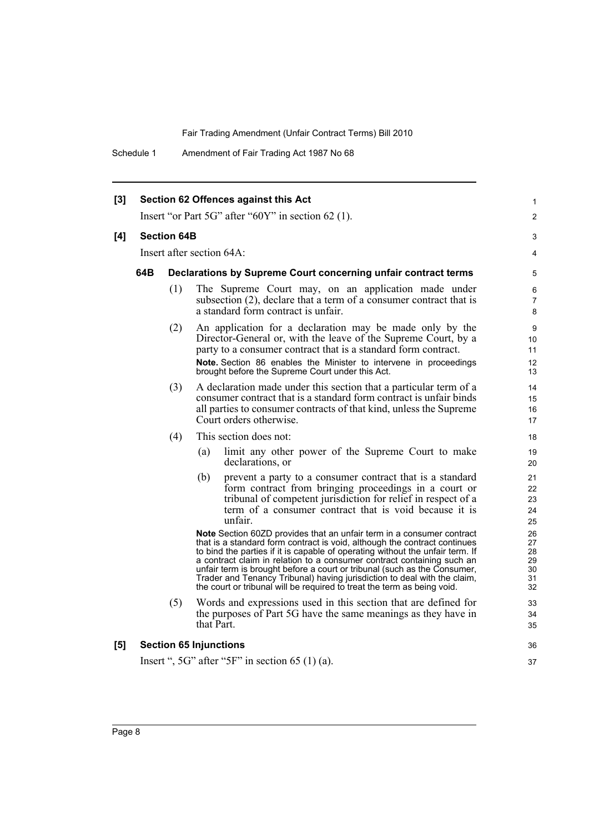Schedule 1 Amendment of Fair Trading Act 1987 No 68

| [3] |     |                    | Section 62 Offences against this Act                    |                                                                                                                                                                                                                                                                                                                                                                                                                                                                                                                                                  | 1                                      |
|-----|-----|--------------------|---------------------------------------------------------|--------------------------------------------------------------------------------------------------------------------------------------------------------------------------------------------------------------------------------------------------------------------------------------------------------------------------------------------------------------------------------------------------------------------------------------------------------------------------------------------------------------------------------------------------|----------------------------------------|
|     |     |                    |                                                         | Insert "or Part 5G" after "60Y" in section 62 (1).                                                                                                                                                                                                                                                                                                                                                                                                                                                                                               | $\overline{2}$                         |
| [4] |     | <b>Section 64B</b> |                                                         |                                                                                                                                                                                                                                                                                                                                                                                                                                                                                                                                                  | 3                                      |
|     |     |                    | Insert after section 64A:                               |                                                                                                                                                                                                                                                                                                                                                                                                                                                                                                                                                  | 4                                      |
|     | 64B |                    |                                                         | Declarations by Supreme Court concerning unfair contract terms                                                                                                                                                                                                                                                                                                                                                                                                                                                                                   | 5                                      |
|     |     | (1)                | a standard form contract is unfair.                     | The Supreme Court may, on an application made under<br>subsection (2), declare that a term of a consumer contract that is                                                                                                                                                                                                                                                                                                                                                                                                                        | $\,6\,$<br>$\overline{7}$<br>8         |
|     |     | (2)                |                                                         | An application for a declaration may be made only by the<br>Director-General or, with the leave of the Supreme Court, by a<br>party to a consumer contract that is a standard form contract.<br>Note. Section 86 enables the Minister to intervene in proceedings<br>brought before the Supreme Court under this Act.                                                                                                                                                                                                                            | 9<br>10<br>11<br>12<br>13              |
|     |     | (3)                | Court orders otherwise.                                 | A declaration made under this section that a particular term of a<br>consumer contract that is a standard form contract is unfair binds<br>all parties to consumer contracts of that kind, unless the Supreme                                                                                                                                                                                                                                                                                                                                    | 14<br>15<br>16<br>17                   |
|     |     | (4)                | This section does not:                                  |                                                                                                                                                                                                                                                                                                                                                                                                                                                                                                                                                  | 18                                     |
|     |     |                    | (a)<br>declarations, or                                 | limit any other power of the Supreme Court to make                                                                                                                                                                                                                                                                                                                                                                                                                                                                                               | 19<br>20                               |
|     |     |                    | (b)<br>unfair.                                          | prevent a party to a consumer contract that is a standard<br>form contract from bringing proceedings in a court or<br>tribunal of competent jurisdiction for relief in respect of a<br>term of a consumer contract that is void because it is                                                                                                                                                                                                                                                                                                    | 21<br>22<br>23<br>24<br>25             |
|     |     |                    |                                                         | Note Section 60ZD provides that an unfair term in a consumer contract<br>that is a standard form contract is void, although the contract continues<br>to bind the parties if it is capable of operating without the unfair term. If<br>a contract claim in relation to a consumer contract containing such an<br>unfair term is brought before a court or tribunal (such as the Consumer,<br>Trader and Tenancy Tribunal) having jurisdiction to deal with the claim,<br>the court or tribunal will be required to treat the term as being void. | 26<br>27<br>28<br>29<br>30<br>31<br>32 |
|     |     | (5)                | that Part.                                              | Words and expressions used in this section that are defined for<br>the purposes of Part 5G have the same meanings as they have in                                                                                                                                                                                                                                                                                                                                                                                                                | 33<br>34<br>35                         |
| [5] |     |                    | <b>Section 65 Injunctions</b>                           |                                                                                                                                                                                                                                                                                                                                                                                                                                                                                                                                                  | 36                                     |
|     |     |                    | Insert ", $5G$ " after " $5F$ " in section $65(1)(a)$ . |                                                                                                                                                                                                                                                                                                                                                                                                                                                                                                                                                  | 37                                     |
|     |     |                    |                                                         |                                                                                                                                                                                                                                                                                                                                                                                                                                                                                                                                                  |                                        |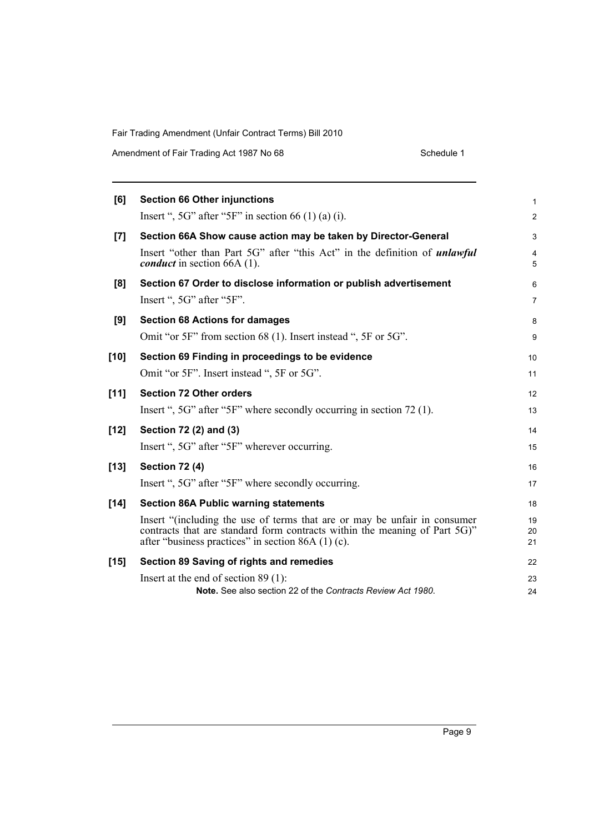Amendment of Fair Trading Act 1987 No 68 Schedule 1

| [6]    | <b>Section 66 Other injunctions</b>                                                                                                                                                                            | 1              |
|--------|----------------------------------------------------------------------------------------------------------------------------------------------------------------------------------------------------------------|----------------|
|        | Insert ", $5G$ " after " $5F$ " in section 66 (1) (a) (i).                                                                                                                                                     | $\overline{c}$ |
| [7]    | Section 66A Show cause action may be taken by Director-General                                                                                                                                                 | 3              |
|        | Insert "other than Part 5G" after "this Act" in the definition of <i>unlawful</i><br><i>conduct</i> in section 66A $(1)$ .                                                                                     | 4<br>5         |
| [8]    | Section 67 Order to disclose information or publish advertisement                                                                                                                                              | 6              |
|        | Insert ", 5G" after "5F".                                                                                                                                                                                      | 7              |
| [9]    | <b>Section 68 Actions for damages</b>                                                                                                                                                                          | 8              |
|        | Omit "or 5F" from section 68 (1). Insert instead ", 5F or 5G".                                                                                                                                                 | 9              |
| $[10]$ | Section 69 Finding in proceedings to be evidence                                                                                                                                                               | 10             |
|        | Omit "or 5F". Insert instead ", 5F or 5G".                                                                                                                                                                     | 11             |
| $[11]$ | <b>Section 72 Other orders</b>                                                                                                                                                                                 | 12             |
|        | Insert ", 5G" after "5F" where secondly occurring in section 72 (1).                                                                                                                                           | 13             |
| $[12]$ | Section 72 (2) and (3)                                                                                                                                                                                         | 14             |
|        | Insert ", 5G" after "5F" wherever occurring.                                                                                                                                                                   | 15             |
| $[13]$ | <b>Section 72 (4)</b>                                                                                                                                                                                          | 16             |
|        | Insert ", 5G" after "5F" where secondly occurring.                                                                                                                                                             | 17             |
| $[14]$ | <b>Section 86A Public warning statements</b>                                                                                                                                                                   | 18             |
|        | Insert "(including the use of terms that are or may be unfair in consumer<br>contracts that are standard form contracts within the meaning of Part 5G)"<br>after "business practices" in section $86A(1)(c)$ . | 19<br>20<br>21 |
| $[15]$ | Section 89 Saving of rights and remedies                                                                                                                                                                       | 22             |
|        | Insert at the end of section $89(1)$ :                                                                                                                                                                         | 23             |
|        | Note. See also section 22 of the Contracts Review Act 1980.                                                                                                                                                    | 24             |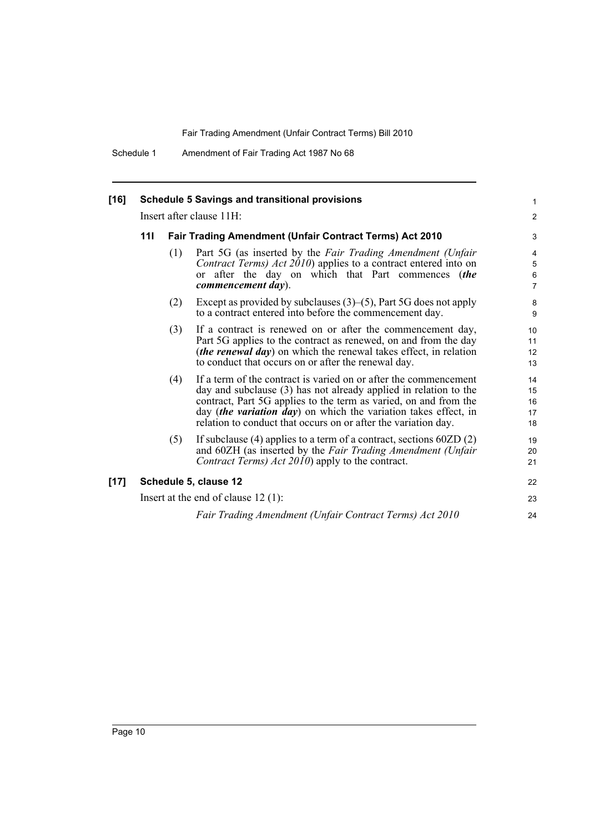Schedule 1 Amendment of Fair Trading Act 1987 No 68

| $[16]$ | <b>Schedule 5 Savings and transitional provisions</b> |                                                         |                                                                                                                                                                                                                                                                                                                                               |                               |  |  |  |  |
|--------|-------------------------------------------------------|---------------------------------------------------------|-----------------------------------------------------------------------------------------------------------------------------------------------------------------------------------------------------------------------------------------------------------------------------------------------------------------------------------------------|-------------------------------|--|--|--|--|
|        |                                                       | Insert after clause 11H:                                |                                                                                                                                                                                                                                                                                                                                               |                               |  |  |  |  |
|        | 111                                                   | Fair Trading Amendment (Unfair Contract Terms) Act 2010 | 3                                                                                                                                                                                                                                                                                                                                             |                               |  |  |  |  |
|        |                                                       | (1)                                                     | Part 5G (as inserted by the Fair Trading Amendment (Unfair<br><i>Contract Terms) Act 2010</i> ) applies to a contract entered into on<br>or after the day on which that Part commences (the<br>commencement day).                                                                                                                             | 4<br>5<br>6<br>$\overline{7}$ |  |  |  |  |
|        |                                                       | (2)                                                     | Except as provided by subclauses $(3)$ – $(5)$ , Part 5G does not apply<br>to a contract entered into before the commencement day.                                                                                                                                                                                                            | 8<br>9                        |  |  |  |  |
|        |                                                       | (3)                                                     | If a contract is renewed on or after the commencement day,<br>Part 5G applies to the contract as renewed, on and from the day<br>( <i>the renewal day</i> ) on which the renewal takes effect, in relation<br>to conduct that occurs on or after the renewal day.                                                                             | 10<br>11<br>12<br>13          |  |  |  |  |
|        |                                                       | (4)                                                     | If a term of the contract is varied on or after the commencement<br>day and subclause (3) has not already applied in relation to the<br>contract, Part 5G applies to the term as varied, on and from the<br>day (the variation day) on which the variation takes effect, in<br>relation to conduct that occurs on or after the variation day. | 14<br>15<br>16<br>17<br>18    |  |  |  |  |
|        |                                                       | (5)                                                     | If subclause $(4)$ applies to a term of a contract, sections $60ZD(2)$<br>and 60ZH (as inserted by the Fair Trading Amendment (Unfair<br>Contract Terms) Act 2010) apply to the contract.                                                                                                                                                     | 19<br>20<br>21                |  |  |  |  |
| $[17]$ | Schedule 5, clause 12                                 |                                                         |                                                                                                                                                                                                                                                                                                                                               |                               |  |  |  |  |
|        |                                                       |                                                         | Insert at the end of clause $12(1)$ :                                                                                                                                                                                                                                                                                                         | 23                            |  |  |  |  |
|        |                                                       |                                                         | Fair Trading Amendment (Unfair Contract Terms) Act 2010                                                                                                                                                                                                                                                                                       | 24                            |  |  |  |  |